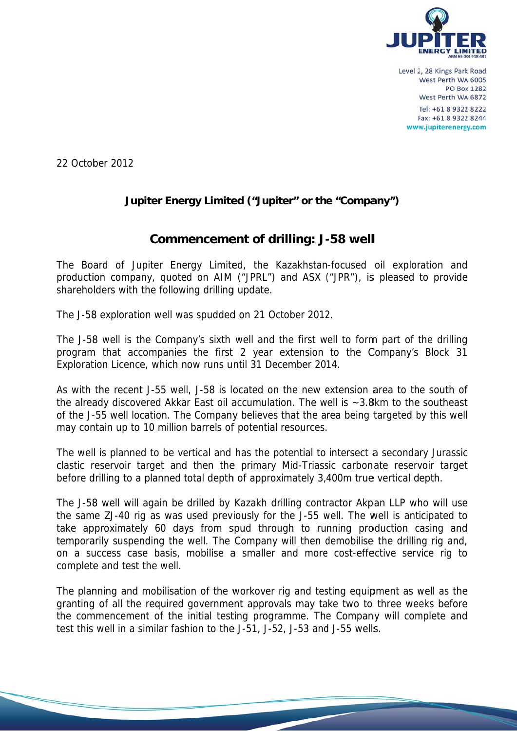

22 October 2012

## Jupiter Energy Limited ("Jupiter" or the "Company")

# **Commencement of drilling: J-58 well**

The Board of Jupiter Energy Limited, the Kazakhstan-focused oil exploration and production company, quoted on AIM ("JPRL") and ASX ("JPR"), is pleased to provide shareholders with the following drilling update.

The J-58 exploration well was spudded on 21 October 2012.

The J-58 well is the Company's sixth well and the first well to form part of the drilling program that accompanies the first 2 year extension to the Company's Block 31 Exploration Licence, which now runs until 31 December 2014.

As with the recent J-55 well, J-58 is located on the new extension area to the south of the already discovered Akkar East oil accumulation. The well is  $\sim$  3.8km to the southeast of the J-55 well location. The Company believes that the area being targeted by this well may contain up to 10 million barrels of potential resources.

The well is planned to be vertical and has the potential to intersect a secondary Jurassic clastic reservoir target and then the primary Mid-Triassic carbonate reservoir target before drilling to a planned total depth of approximately 3,400m true vertical depth.

The J-58 well will again be drilled by Kazakh drilling contractor Akpan LLP who will use the same ZJ-40 rig as was used previously for the J-55 well. The well is anticipated to take approximately 60 days from spud through to running production casing and temporarily suspending the well. The Company will then demobilise the drilling rig and, on a success case basis, mobilise a smaller and more cost-effective service rig to complete and test the well.

The planning and mobilisation of the workover rig and testing equipment as well as the granting of all the required government approvals may take two to three weeks before the commencement of the initial testing programme. The Company will complete and test this well in a similar fashion to the J-51, J-52, J-53 and J-55 wells.